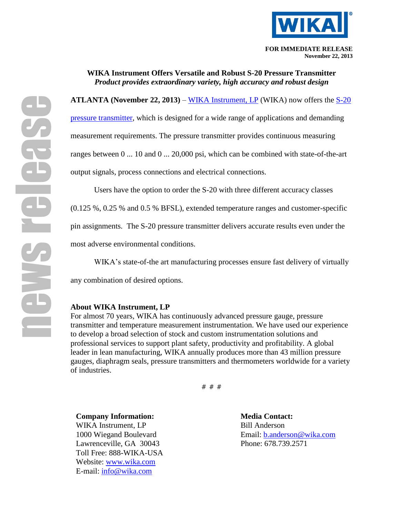

**WIKA Instrument Offers Versatile and Robust S-20 Pressure Transmitter** *Product provides extraordinary variety, high accuracy and robust design*

**ATLANTA (November 22, 2013)** – [WIKA Instrument, LP](http://www.wika.com/) (WIKA) now offers the [S-20](http://wika.us/S_20_en_us.WIKA)  [pressure transmitter,](http://wika.us/S_20_en_us.WIKA) which is designed for a wide range of applications and demanding measurement requirements. The pressure transmitter provides continuous measuring ranges between 0 ... 10 and 0 ... 20,000 psi, which can be combined with state-of-the-art output signals, process connections and electrical connections.

Users have the option to order the S-20 with three different accuracy classes

(0.125 %, 0.25 % and 0.5 % BFSL), extended temperature ranges and customer-specific

pin assignments. The S-20 pressure transmitter delivers accurate results even under the

most adverse environmental conditions.

WIKA's state-of-the art manufacturing processes ensure fast delivery of virtually

any combination of desired options.

## **About WIKA Instrument, LP**

For almost 70 years, WIKA has continuously advanced pressure gauge, pressure transmitter and temperature measurement instrumentation. We have used our experience to develop a broad selection of stock and custom instrumentation solutions and professional services to support plant safety, productivity and profitability. A global leader in lean manufacturing, WIKA annually produces more than 43 million pressure gauges, diaphragm seals, pressure transmitters and thermometers worldwide for a variety of industries.

# # #

**Company Information: Media Contact:** WIKA Instrument, LP Bill Anderson Lawrenceville, GA 30043 Phone: 678.739.2571 Toll Free: 888-WIKA-USA Website: [www.wika.com](file://marketingstore/Marketing/Melissa/Press%20Releases/www.wika.com) E-mail: [info@wika.com](mailto:info@wika.com)

1000 Wiegand Boulevard Email: [b.anderson@wika.com](mailto:b.anderson@wika.com)